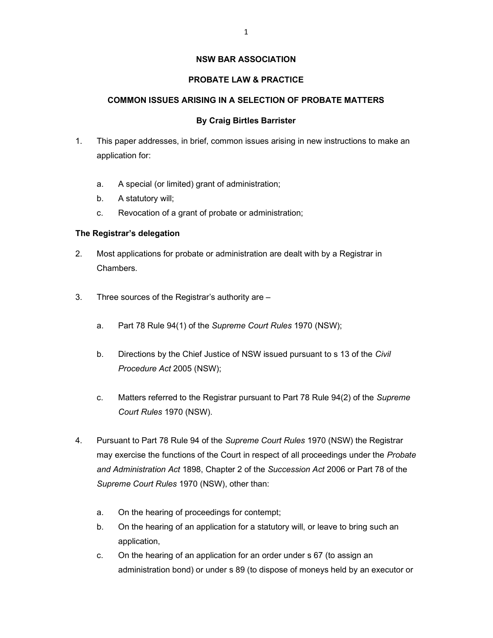#### NSW BAR ASSOCIATION

## PROBATE LAW & PRACTICE

## COMMON ISSUES ARISING IN A SELECTION OF PROBATE MATTERS

#### By Craig Birtles Barrister

- 1. This paper addresses, in brief, common issues arising in new instructions to make an application for:
	- a. A special (or limited) grant of administration;
	- b. A statutory will;
	- c. Revocation of a grant of probate or administration;

## The Registrar's delegation

- 2. Most applications for probate or administration are dealt with by a Registrar in Chambers.
- 3. Three sources of the Registrar's authority are
	- a. Part 78 Rule 94(1) of the Supreme Court Rules 1970 (NSW);
	- b. Directions by the Chief Justice of NSW issued pursuant to s 13 of the Civil Procedure Act 2005 (NSW);
	- c. Matters referred to the Registrar pursuant to Part 78 Rule 94(2) of the Supreme Court Rules 1970 (NSW).
- 4. Pursuant to Part 78 Rule 94 of the Supreme Court Rules 1970 (NSW) the Registrar may exercise the functions of the Court in respect of all proceedings under the Probate and Administration Act 1898, Chapter 2 of the Succession Act 2006 or Part 78 of the Supreme Court Rules 1970 (NSW), other than:
	- a. On the hearing of proceedings for contempt;
	- b. On the hearing of an application for a statutory will, or leave to bring such an application,
	- c. On the hearing of an application for an order under s 67 (to assign an administration bond) or under s 89 (to dispose of moneys held by an executor or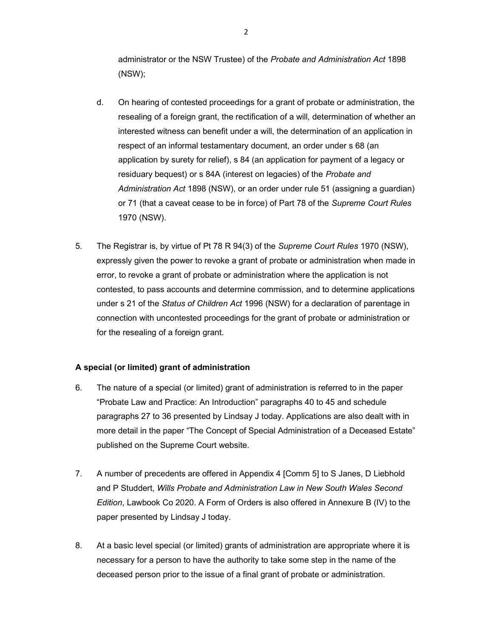administrator or the NSW Trustee) of the Probate and Administration Act 1898 (NSW);

- d. On hearing of contested proceedings for a grant of probate or administration, the resealing of a foreign grant, the rectification of a will, determination of whether an interested witness can benefit under a will, the determination of an application in respect of an informal testamentary document, an order under s 68 (an application by surety for relief), s 84 (an application for payment of a legacy or residuary bequest) or s 84A (interest on legacies) of the Probate and Administration Act 1898 (NSW), or an order under rule 51 (assigning a guardian) or 71 (that a caveat cease to be in force) of Part 78 of the Supreme Court Rules 1970 (NSW).
- 5. The Registrar is, by virtue of Pt 78 R 94(3) of the Supreme Court Rules 1970 (NSW), expressly given the power to revoke a grant of probate or administration when made in error, to revoke a grant of probate or administration where the application is not contested, to pass accounts and determine commission, and to determine applications under s 21 of the Status of Children Act 1996 (NSW) for a declaration of parentage in connection with uncontested proceedings for the grant of probate or administration or for the resealing of a foreign grant.

#### A special (or limited) grant of administration

- 6. The nature of a special (or limited) grant of administration is referred to in the paper "Probate Law and Practice: An Introduction" paragraphs 40 to 45 and schedule paragraphs 27 to 36 presented by Lindsay J today. Applications are also dealt with in more detail in the paper "The Concept of Special Administration of a Deceased Estate" published on the Supreme Court website.
- 7. A number of precedents are offered in Appendix 4 [Comm 5] to S Janes, D Liebhold and P Studdert, Wills Probate and Administration Law in New South Wales Second Edition, Lawbook Co 2020. A Form of Orders is also offered in Annexure B (IV) to the paper presented by Lindsay J today.
- 8. At a basic level special (or limited) grants of administration are appropriate where it is necessary for a person to have the authority to take some step in the name of the deceased person prior to the issue of a final grant of probate or administration.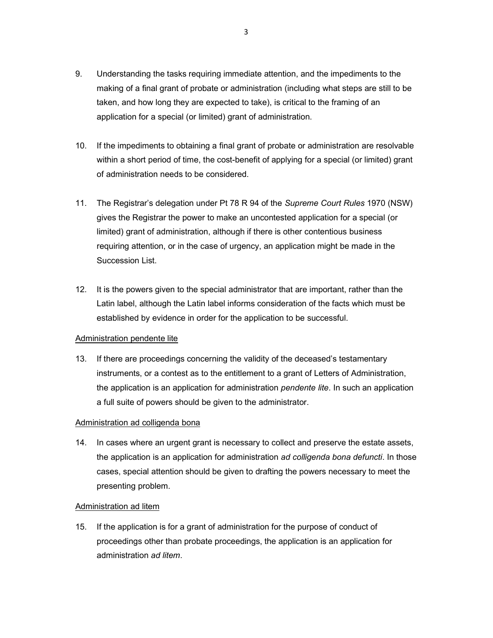- 9. Understanding the tasks requiring immediate attention, and the impediments to the making of a final grant of probate or administration (including what steps are still to be taken, and how long they are expected to take), is critical to the framing of an application for a special (or limited) grant of administration.
- 10. If the impediments to obtaining a final grant of probate or administration are resolvable within a short period of time, the cost-benefit of applying for a special (or limited) grant of administration needs to be considered.
- 11. The Registrar's delegation under Pt 78 R 94 of the Supreme Court Rules 1970 (NSW) gives the Registrar the power to make an uncontested application for a special (or limited) grant of administration, although if there is other contentious business requiring attention, or in the case of urgency, an application might be made in the Succession List.
- 12. It is the powers given to the special administrator that are important, rather than the Latin label, although the Latin label informs consideration of the facts which must be established by evidence in order for the application to be successful.

#### Administration pendente lite

13. If there are proceedings concerning the validity of the deceased's testamentary instruments, or a contest as to the entitlement to a grant of Letters of Administration, the application is an application for administration *pendente lite*. In such an application a full suite of powers should be given to the administrator.

# Administration ad colligenda bona

14. In cases where an urgent grant is necessary to collect and preserve the estate assets, the application is an application for administration ad colligenda bona defuncti. In those cases, special attention should be given to drafting the powers necessary to meet the presenting problem.

#### Administration ad litem

15. If the application is for a grant of administration for the purpose of conduct of proceedings other than probate proceedings, the application is an application for administration ad litem.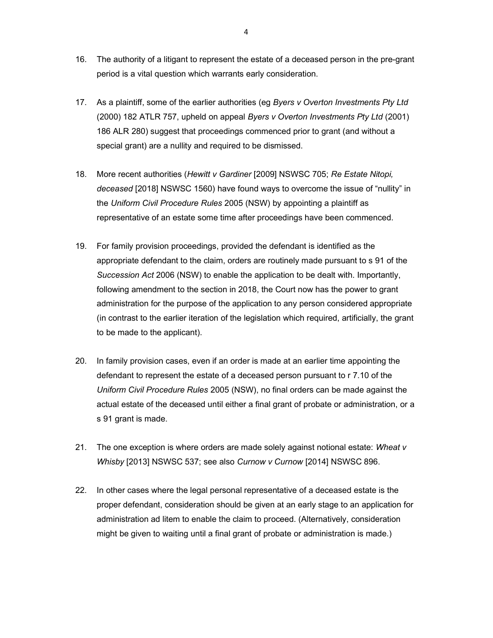- 16. The authority of a litigant to represent the estate of a deceased person in the pre-grant period is a vital question which warrants early consideration.
- 17. As a plaintiff, some of the earlier authorities (eg Byers v Overton Investments Pty Ltd (2000) 182 ATLR 757, upheld on appeal Byers v Overton Investments Pty Ltd (2001) 186 ALR 280) suggest that proceedings commenced prior to grant (and without a special grant) are a nullity and required to be dismissed.
- 18. More recent authorities (Hewitt v Gardiner [2009] NSWSC 705; Re Estate Nitopi, deceased [2018] NSWSC 1560) have found ways to overcome the issue of "nullity" in the Uniform Civil Procedure Rules 2005 (NSW) by appointing a plaintiff as representative of an estate some time after proceedings have been commenced.
- 19. For family provision proceedings, provided the defendant is identified as the appropriate defendant to the claim, orders are routinely made pursuant to s 91 of the Succession Act 2006 (NSW) to enable the application to be dealt with. Importantly, following amendment to the section in 2018, the Court now has the power to grant administration for the purpose of the application to any person considered appropriate (in contrast to the earlier iteration of the legislation which required, artificially, the grant to be made to the applicant).
- 20. In family provision cases, even if an order is made at an earlier time appointing the defendant to represent the estate of a deceased person pursuant to r 7.10 of the Uniform Civil Procedure Rules 2005 (NSW), no final orders can be made against the actual estate of the deceased until either a final grant of probate or administration, or a s 91 grant is made.
- 21. The one exception is where orders are made solely against notional estate: Wheat  $v$ Whisby [2013] NSWSC 537; see also Curnow v Curnow [2014] NSWSC 896.
- 22. In other cases where the legal personal representative of a deceased estate is the proper defendant, consideration should be given at an early stage to an application for administration ad litem to enable the claim to proceed. (Alternatively, consideration might be given to waiting until a final grant of probate or administration is made.)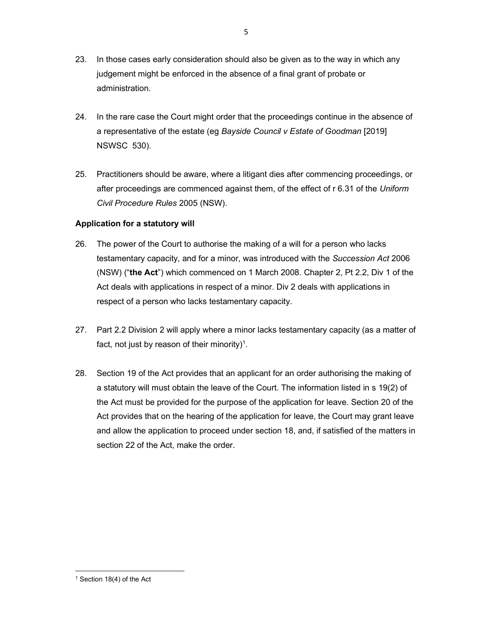- 23. In those cases early consideration should also be given as to the way in which any judgement might be enforced in the absence of a final grant of probate or administration.
- 24. In the rare case the Court might order that the proceedings continue in the absence of a representative of the estate (eg Bayside Council v Estate of Goodman [2019] NSWSC 530).
- 25. Practitioners should be aware, where a litigant dies after commencing proceedings, or after proceedings are commenced against them, of the effect of r 6.31 of the Uniform Civil Procedure Rules 2005 (NSW).

# Application for a statutory will

- 26. The power of the Court to authorise the making of a will for a person who lacks testamentary capacity, and for a minor, was introduced with the Succession Act 2006 (NSW) ("the Act") which commenced on 1 March 2008. Chapter 2, Pt 2.2, Div 1 of the Act deals with applications in respect of a minor. Div 2 deals with applications in respect of a person who lacks testamentary capacity.
- 27. Part 2.2 Division 2 will apply where a minor lacks testamentary capacity (as a matter of fact, not just by reason of their minority)<sup>1</sup>.
- 28. Section 19 of the Act provides that an applicant for an order authorising the making of a statutory will must obtain the leave of the Court. The information listed in s 19(2) of the Act must be provided for the purpose of the application for leave. Section 20 of the Act provides that on the hearing of the application for leave, the Court may grant leave and allow the application to proceed under section 18, and, if satisfied of the matters in section 22 of the Act, make the order.

<sup>1</sup> Section 18(4) of the Act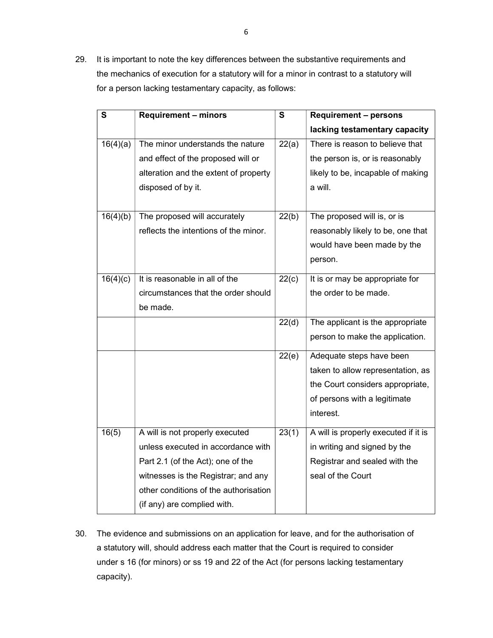29. It is important to note the key differences between the substantive requirements and the mechanics of execution for a statutory will for a minor in contrast to a statutory will for a person lacking testamentary capacity, as follows:

| $\mathbf s$ | <b>Requirement - minors</b>           | $\mathbf{s}$ | <b>Requirement - persons</b>         |
|-------------|---------------------------------------|--------------|--------------------------------------|
|             |                                       |              | lacking testamentary capacity        |
| 16(4)(a)    | The minor understands the nature      | 22(a)        | There is reason to believe that      |
|             | and effect of the proposed will or    |              | the person is, or is reasonably      |
|             | alteration and the extent of property |              | likely to be, incapable of making    |
|             | disposed of by it.                    |              | a will.                              |
|             |                                       |              |                                      |
| 16(4)(b)    | The proposed will accurately          | 22(b)        | The proposed will is, or is          |
|             | reflects the intentions of the minor. |              | reasonably likely to be, one that    |
|             |                                       |              | would have been made by the          |
|             |                                       |              | person.                              |
| 16(4)(c)    | It is reasonable in all of the        | 22(c)        | It is or may be appropriate for      |
|             | circumstances that the order should   |              | the order to be made.                |
|             | be made.                              |              |                                      |
|             |                                       | 22(d)        | The applicant is the appropriate     |
|             |                                       |              | person to make the application.      |
|             |                                       | 22(e)        | Adequate steps have been             |
|             |                                       |              | taken to allow representation, as    |
|             |                                       |              | the Court considers appropriate,     |
|             |                                       |              | of persons with a legitimate         |
|             |                                       |              | interest.                            |
| 16(5)       | A will is not properly executed       | 23(1)        | A will is properly executed if it is |
|             | unless executed in accordance with    |              | in writing and signed by the         |
|             | Part 2.1 (of the Act); one of the     |              | Registrar and sealed with the        |
|             | witnesses is the Registrar; and any   |              | seal of the Court                    |
|             | other conditions of the authorisation |              |                                      |
|             | (if any) are complied with.           |              |                                      |

30. The evidence and submissions on an application for leave, and for the authorisation of a statutory will, should address each matter that the Court is required to consider under s 16 (for minors) or ss 19 and 22 of the Act (for persons lacking testamentary capacity).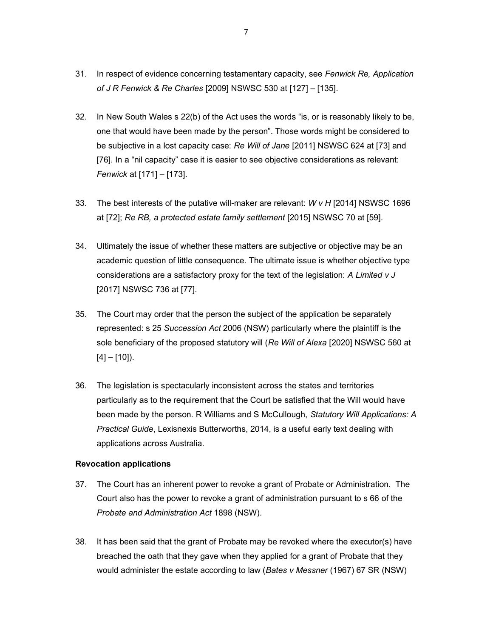- 31. In respect of evidence concerning testamentary capacity, see Fenwick Re, Application of J R Fenwick & Re Charles [2009] NSWSC 530 at [127] – [135].
- 32. In New South Wales s 22(b) of the Act uses the words "is, or is reasonably likely to be, one that would have been made by the person". Those words might be considered to be subjective in a lost capacity case: Re Will of Jane [2011] NSWSC 624 at [73] and [76]. In a "nil capacity" case it is easier to see objective considerations as relevant: Fenwick at [171] – [173].
- 33. The best interests of the putative will-maker are relevant:  $WvH$  [2014] NSWSC 1696 at [72]; Re RB, a protected estate family settlement [2015] NSWSC 70 at [59].
- 34. Ultimately the issue of whether these matters are subjective or objective may be an academic question of little consequence. The ultimate issue is whether objective type considerations are a satisfactory proxy for the text of the legislation: A Limited v J [2017] NSWSC 736 at [77].
- 35. The Court may order that the person the subject of the application be separately represented: s 25 Succession Act 2006 (NSW) particularly where the plaintiff is the sole beneficiary of the proposed statutory will (Re Will of Alexa [2020] NSWSC 560 at  $[4] - [10]$ ).
- 36. The legislation is spectacularly inconsistent across the states and territories particularly as to the requirement that the Court be satisfied that the Will would have been made by the person. R Williams and S McCullough, Statutory Will Applications: A Practical Guide, Lexisnexis Butterworths, 2014, is a useful early text dealing with applications across Australia.

#### Revocation applications

- 37. The Court has an inherent power to revoke a grant of Probate or Administration. The Court also has the power to revoke a grant of administration pursuant to s 66 of the Probate and Administration Act 1898 (NSW).
- 38. It has been said that the grant of Probate may be revoked where the executor(s) have breached the oath that they gave when they applied for a grant of Probate that they would administer the estate according to law (Bates v Messner (1967) 67 SR (NSW)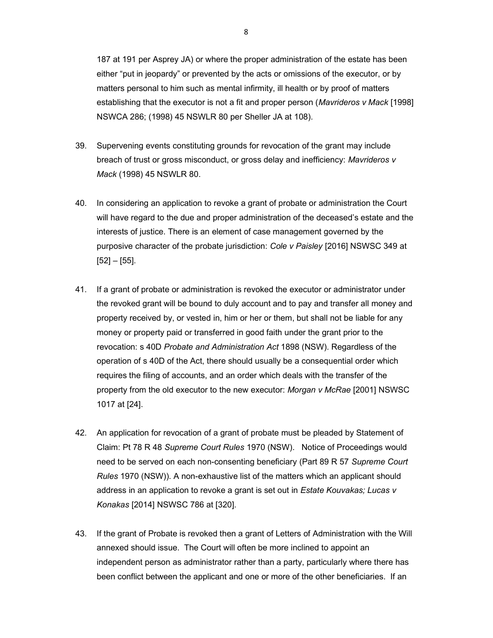187 at 191 per Asprey JA) or where the proper administration of the estate has been either "put in jeopardy" or prevented by the acts or omissions of the executor, or by matters personal to him such as mental infirmity, ill health or by proof of matters establishing that the executor is not a fit and proper person (Mavrideros v Mack [1998] NSWCA 286; (1998) 45 NSWLR 80 per Sheller JA at 108).

- 39. Supervening events constituting grounds for revocation of the grant may include breach of trust or gross misconduct, or gross delay and inefficiency: Mavrideros v Mack (1998) 45 NSWLR 80.
- 40. In considering an application to revoke a grant of probate or administration the Court will have regard to the due and proper administration of the deceased's estate and the interests of justice. There is an element of case management governed by the purposive character of the probate jurisdiction: Cole v Paisley [2016] NSWSC 349 at  $[52] - [55]$ .
- 41. If a grant of probate or administration is revoked the executor or administrator under the revoked grant will be bound to duly account and to pay and transfer all money and property received by, or vested in, him or her or them, but shall not be liable for any money or property paid or transferred in good faith under the grant prior to the revocation: s 40D Probate and Administration Act 1898 (NSW). Regardless of the operation of s 40D of the Act, there should usually be a consequential order which requires the filing of accounts, and an order which deals with the transfer of the property from the old executor to the new executor: Morgan v McRae [2001] NSWSC 1017 at [24].
- 42. An application for revocation of a grant of probate must be pleaded by Statement of Claim: Pt 78 R 48 Supreme Court Rules 1970 (NSW). Notice of Proceedings would need to be served on each non-consenting beneficiary (Part 89 R 57 Supreme Court Rules 1970 (NSW)). A non-exhaustive list of the matters which an applicant should address in an application to revoke a grant is set out in Estate Kouvakas; Lucas v Konakas [2014] NSWSC 786 at [320].
- 43. If the grant of Probate is revoked then a grant of Letters of Administration with the Will annexed should issue. The Court will often be more inclined to appoint an independent person as administrator rather than a party, particularly where there has been conflict between the applicant and one or more of the other beneficiaries. If an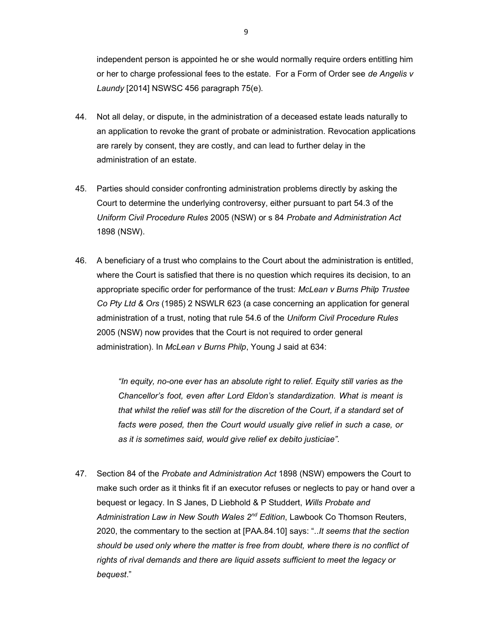independent person is appointed he or she would normally require orders entitling him or her to charge professional fees to the estate. For a Form of Order see de Angelis v Laundy [2014] NSWSC 456 paragraph 75(e).

- 44. Not all delay, or dispute, in the administration of a deceased estate leads naturally to an application to revoke the grant of probate or administration. Revocation applications are rarely by consent, they are costly, and can lead to further delay in the administration of an estate.
- 45. Parties should consider confronting administration problems directly by asking the Court to determine the underlying controversy, either pursuant to part 54.3 of the Uniform Civil Procedure Rules 2005 (NSW) or s 84 Probate and Administration Act 1898 (NSW).
- 46. A beneficiary of a trust who complains to the Court about the administration is entitled, where the Court is satisfied that there is no question which requires its decision, to an appropriate specific order for performance of the trust: McLean v Burns Philp Trustee Co Pty Ltd & Ors (1985) 2 NSWLR 623 (a case concerning an application for general administration of a trust, noting that rule 54.6 of the Uniform Civil Procedure Rules 2005 (NSW) now provides that the Court is not required to order general administration). In McLean v Burns Philp, Young J said at 634:

"In equity, no-one ever has an absolute right to relief. Equity still varies as the Chancellor's foot, even after Lord Eldon's standardization. What is meant is that whilst the relief was still for the discretion of the Court, if a standard set of facts were posed, then the Court would usually give relief in such a case, or as it is sometimes said, would give relief ex debito justiciae".

47. Section 84 of the Probate and Administration Act 1898 (NSW) empowers the Court to make such order as it thinks fit if an executor refuses or neglects to pay or hand over a bequest or legacy. In S Janes, D Liebhold & P Studdert, Wills Probate and Administration Law in New South Wales 2<sup>nd</sup> Edition, Lawbook Co Thomson Reuters, 2020, the commentary to the section at [PAA.84.10] says: "..It seems that the section should be used only where the matter is free from doubt, where there is no conflict of rights of rival demands and there are liquid assets sufficient to meet the legacy or bequest."